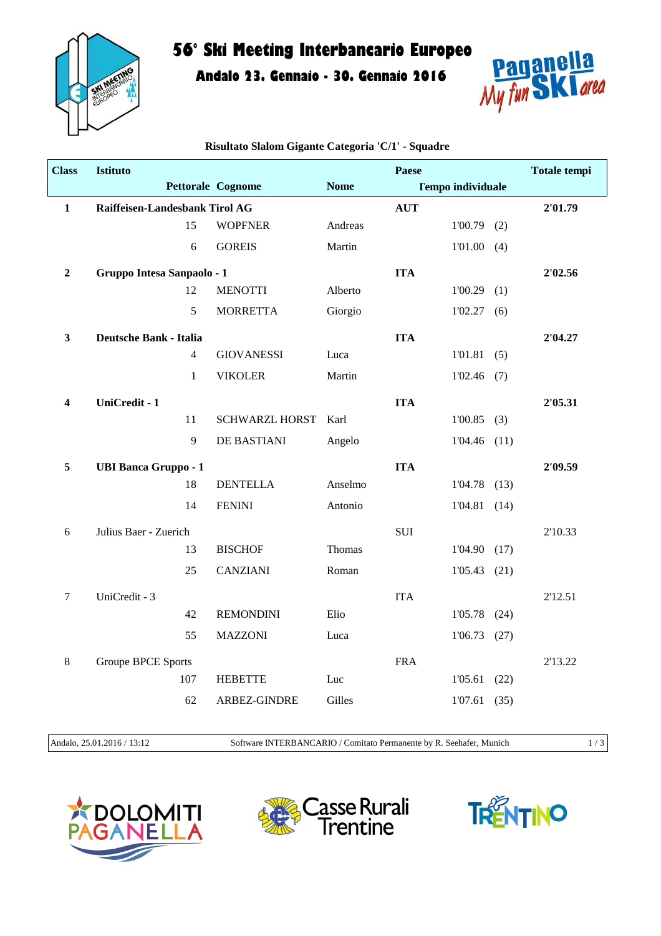

## **56° Ski Meeting Interbancario Europeo**

**Andalo 23. Gennaio - 30. Gennaio 2016**



| <b>Class</b>     | <b>Istituto</b>                |                |                       |             | Paese      |                          |      | <b>Totale tempi</b> |
|------------------|--------------------------------|----------------|-----------------------|-------------|------------|--------------------------|------|---------------------|
|                  |                                |                | Pettorale Cognome     | <b>Nome</b> |            | <b>Tempo individuale</b> |      |                     |
| $\mathbf{1}$     | Raiffeisen-Landesbank Tirol AG |                |                       |             | <b>AUT</b> |                          |      | 2'01.79             |
|                  |                                | 15             | <b>WOPFNER</b>        | Andreas     |            | $1'00.79$ (2)            |      |                     |
|                  |                                | 6              | <b>GOREIS</b>         | Martin      |            | $1'01.00$ (4)            |      |                     |
| $\boldsymbol{2}$ | Gruppo Intesa Sanpaolo - 1     |                |                       |             | <b>ITA</b> |                          |      | 2'02.56             |
|                  |                                | 12             | <b>MENOTTI</b>        | Alberto     |            | 1'00.29                  | (1)  |                     |
|                  |                                | 5              | <b>MORRETTA</b>       | Giorgio     |            | 1'02.27(6)               |      |                     |
| $\mathbf{3}$     | <b>Deutsche Bank - Italia</b>  |                |                       |             | <b>ITA</b> |                          |      | 2'04.27             |
|                  |                                | $\overline{4}$ | <b>GIOVANESSI</b>     | Luca        |            | 1'01.81(5)               |      |                     |
|                  |                                | $\mathbf{1}$   | <b>VIKOLER</b>        | Martin      |            | $1'02.46$ (7)            |      |                     |
| 4                | UniCredit - 1                  |                |                       |             | <b>ITA</b> |                          |      | 2'05.31             |
|                  |                                | 11             | <b>SCHWARZL HORST</b> | Karl        |            | $1'00.85$ (3)            |      |                     |
|                  |                                | 9              | DE BASTIANI           | Angelo      |            | $1'04.46$ (11)           |      |                     |
| 5                | <b>UBI Banca Gruppo - 1</b>    |                |                       |             | <b>ITA</b> |                          |      | 2'09.59             |
|                  |                                | 18             | <b>DENTELLA</b>       | Anselmo     |            | 1'04.78                  | (13) |                     |
|                  |                                | 14             | <b>FENINI</b>         | Antonio     |            | $1'04.81$ (14)           |      |                     |
| 6                | Julius Baer - Zuerich          |                |                       |             | <b>SUI</b> |                          |      | 2'10.33             |
|                  |                                | 13             | <b>BISCHOF</b>        | Thomas      |            | 1'04.90(17)              |      |                     |
|                  |                                | 25             | <b>CANZIANI</b>       | Roman       |            | $1'05.43$ (21)           |      |                     |
| 7                | UniCredit - 3                  |                |                       |             | <b>ITA</b> |                          |      | 2'12.51             |
|                  |                                | 42             | <b>REMONDINI</b>      | Elio        |            | 1'05.78                  | (24) |                     |
|                  |                                | 55             | <b>MAZZONI</b>        | Luca        |            | 1'06.73                  | (27) |                     |
| 8                | <b>Groupe BPCE Sports</b>      |                |                       |             | <b>FRA</b> |                          |      | 2'13.22             |
|                  | 107                            |                | <b>HEBETTE</b>        | Luc         |            | 1'05.61                  | (22) |                     |
|                  |                                | 62             | ARBEZ-GINDRE          | Gilles      |            | 1'07.61                  | (35) |                     |

**Risultato Slalom Gigante Categoria 'C/1' - Squadre**

Andalo, 25.01.2016 / 13:12 Software INTERBANCARIO / Comitato Permanente by R. Seehafer, Munich 1 / 3





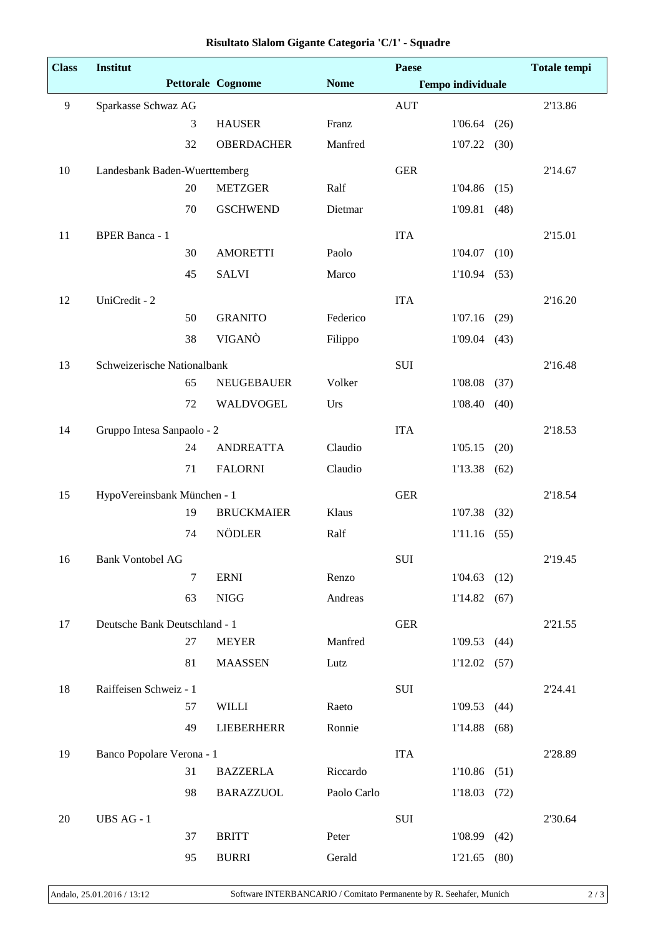| <b>Class</b> | Institut                      |                          |             | Paese      |                          |      | <b>Totale</b> tempi |
|--------------|-------------------------------|--------------------------|-------------|------------|--------------------------|------|---------------------|
|              |                               | <b>Pettorale Cognome</b> | <b>Nome</b> |            | <b>Tempo individuale</b> |      |                     |
| 9            | Sparkasse Schwaz AG           |                          |             | <b>AUT</b> |                          |      | 2'13.86             |
|              | 3                             | <b>HAUSER</b>            | Franz       |            | 1'06.64                  | (26) |                     |
|              | 32                            | <b>OBERDACHER</b>        | Manfred     |            | 1'07.22                  | (30) |                     |
| 10           | Landesbank Baden-Wuerttemberg |                          |             | <b>GER</b> |                          |      | 2'14.67             |
|              | 20                            | <b>METZGER</b>           | Ralf        |            | 1'04.86                  | (15) |                     |
|              | 70                            | <b>GSCHWEND</b>          | Dietmar     |            | 1'09.81                  | (48) |                     |
| 11           | <b>BPER Banca - 1</b>         |                          |             | <b>ITA</b> |                          |      | 2'15.01             |
|              | 30                            | <b>AMORETTI</b>          | Paolo       |            | 1'04.07                  | (10) |                     |
|              | 45                            | <b>SALVI</b>             | Marco       |            | 1'10.94                  | (53) |                     |
| 12           | UniCredit - 2                 |                          |             | <b>ITA</b> |                          |      | 2'16.20             |
|              | 50                            | <b>GRANITO</b>           | Federico    |            | $1'07.16$ (29)           |      |                     |
|              | 38                            | VIGANÒ                   | Filippo     |            | 1'09.04                  | (43) |                     |
| 13           | Schweizerische Nationalbank   |                          |             | SUI        |                          |      | 2'16.48             |
|              | 65                            | <b>NEUGEBAUER</b>        | Volker      |            | 1'08.08                  | (37) |                     |
|              | 72                            | WALDVOGEL                | Urs         |            | 1'08.40                  | (40) |                     |
| 14           | Gruppo Intesa Sanpaolo - 2    |                          |             | <b>ITA</b> |                          |      | 2'18.53             |
|              | 24                            | <b>ANDREATTA</b>         | Claudio     |            | 1'05.15                  | (20) |                     |
|              | 71                            | <b>FALORNI</b>           | Claudio     |            | 1'13.38                  | (62) |                     |
| 15           | HypoVereinsbank München - 1   |                          |             | <b>GER</b> |                          |      | 2'18.54             |
|              | 19                            | <b>BRUCKMAIER</b>        | Klaus       |            | 1'07.38                  | (32) |                     |
|              | 74                            | NÖDLER                   | Ralf        |            | 1'11.16                  | (55) |                     |
| 16           | <b>Bank Vontobel AG</b>       |                          |             | SUI        |                          |      | 2'19.45             |
|              | $\tau$                        | <b>ERNI</b>              | Renzo       |            | 1'04.63                  | (12) |                     |
|              | 63                            | <b>NIGG</b>              | Andreas     |            | 1'14.82(67)              |      |                     |
| 17           | Deutsche Bank Deutschland - 1 |                          |             | <b>GER</b> |                          |      | 2'21.55             |
|              | 27                            | <b>MEYER</b>             | Manfred     |            | 1'09.53                  | (44) |                     |
|              | 81                            | <b>MAASSEN</b>           | Lutz        |            | $1'12.02$ (57)           |      |                     |
| 18           | Raiffeisen Schweiz - 1        |                          |             | SUI        |                          |      | 2'24.41             |
|              | 57                            | <b>WILLI</b>             | Raeto       |            | 1'09.53                  | (44) |                     |
|              | 49                            | <b>LIEBERHERR</b>        | Ronnie      |            | 1'14.88                  | (68) |                     |
| 19           | Banco Popolare Verona - 1     |                          |             | <b>ITA</b> |                          |      | 2'28.89             |
|              | 31                            | <b>BAZZERLA</b>          | Riccardo    |            | 1'10.86                  | (51) |                     |
|              | 98                            | <b>BARAZZUOL</b>         | Paolo Carlo |            | 1'18.03                  | (72) |                     |
| 20           | UBS AG - 1                    |                          |             | SUI        |                          |      | 2'30.64             |
|              | 37                            | <b>BRITT</b>             | Peter       |            | 1'08.99 (42)             |      |                     |
|              | 95                            | <b>BURRI</b>             | Gerald      |            | 1'21.65                  | (80) |                     |

## **Risultato Slalom Gigante Categoria 'C/1' - Squadre**